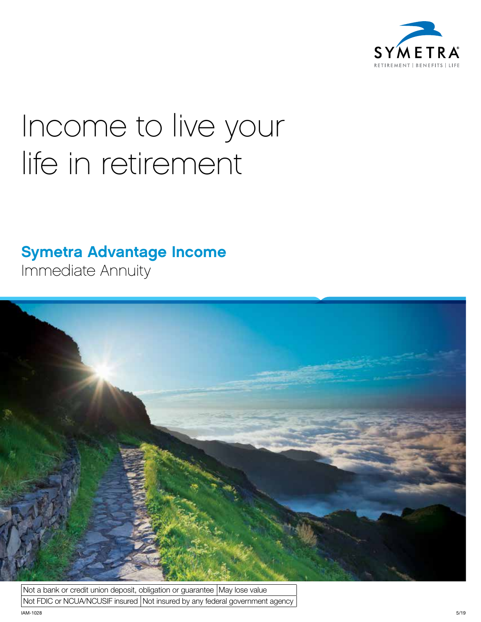

# Income to live your life in retirement

### Symetra Advantage Income

Immediate Annuity



Not a bank or credit union deposit, obligation or guarantee  $|M$ ay lose value Not FDIC or NCUA/NCUSIF insured Not insured by any federal government agency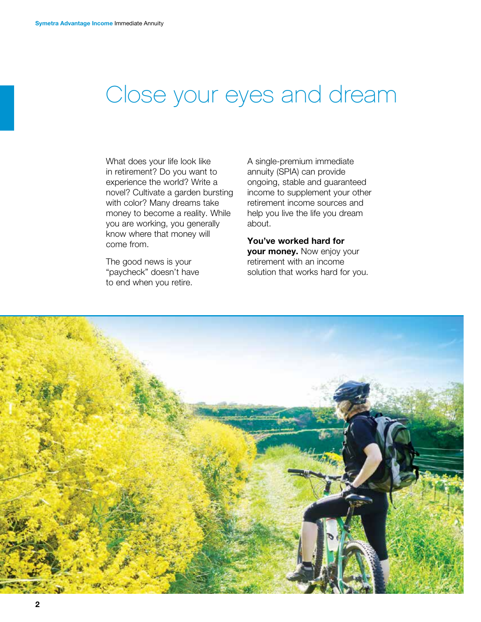## Close your eyes and dream

What does your life look like in retirement? Do you want to experience the world? Write a novel? Cultivate a garden bursting with color? Many dreams take money to become a reality. While you are working, you generally know where that money will come from.

The good news is your "paycheck" doesn't have to end when you retire.

A single-premium immediate annuity (SPIA) can provide ongoing, stable and guaranteed income to supplement your other retirement income sources and help you live the life you dream about.

You've worked hard for your money. Now enjoy your retirement with an income solution that works hard for you.

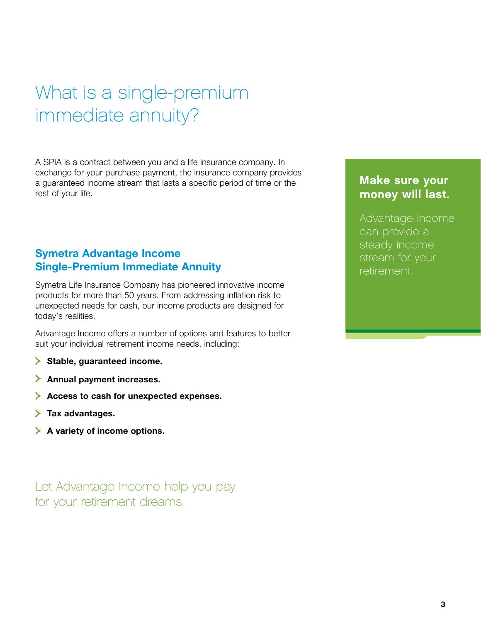## What is a single-premium immediate annuity?

A SPIA is a contract between you and a life insurance company. In exchange for your purchase payment, the insurance company provides a guaranteed income stream that lasts a specific period of time or the rest of your life.

#### Symetra Advantage Income Single-Premium Immediate Annuity

Symetra Life Insurance Company has pioneered innovative income products for more than 50 years. From addressing inflation risk to unexpected needs for cash, our income products are designed for today's realities.

Advantage Income offers a number of options and features to better suit your individual retirement income needs, including:

- $\geq$  Stable, guaranteed income.
- $\geq$  Annual payment increases.
- Access to cash for unexpected expenses.
- $\geq$  Tax advantages.
- $\blacktriangleright$  A variety of income options.

Let Advantage Income help you pay for your retirement dreams.

### Make sure your money will last.

Advantage Income can provide a steady income stream for your retirement.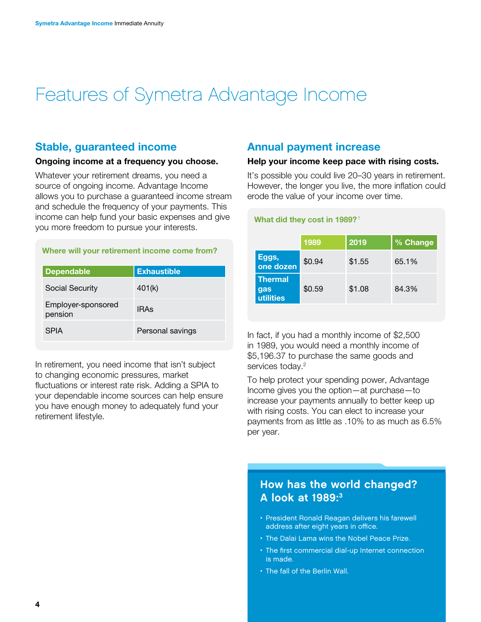### Features of Symetra Advantage Income

#### Stable, guaranteed income

#### Ongoing income at a frequency you choose.

Whatever your retirement dreams, you need a source of ongoing income. Advantage Income allows you to purchase a guaranteed income stream and schedule the frequency of your payments. This income can help fund your basic expenses and give you more freedom to pursue your interests.

#### Where will your retirement income come from?

| <b>Dependable</b>             | <b>Exhaustible</b> |
|-------------------------------|--------------------|
| Social Security               | 401(k)             |
| Employer-sponsored<br>pension | <b>IRAs</b>        |
| <b>SPIA</b>                   | Personal savings   |

In retirement, you need income that isn't subject to changing economic pressures, market fluctuations or interest rate risk. Adding a SPIA to your dependable income sources can help ensure you have enough money to adequately fund your retirement lifestyle.

#### Annual payment increase

#### Help your income keep pace with rising costs.

It's possible you could live 20–30 years in retirement. However, the longer you live, the more inflation could erode the value of your income over time.

#### What did they cost in 1989?<sup>1</sup>

|                                    | 1989   | 2019   | % Change |
|------------------------------------|--------|--------|----------|
| Eggs,<br>one dozen                 | \$0.94 | \$1.55 | 65.1%    |
| <b>Thermal</b><br>gas<br>utilities | \$0.59 | \$1.08 | 84.3%    |

In fact, if you had a monthly income of \$2,500 in 1989, you would need a monthly income of \$5,196.37 to purchase the same goods and services today.<sup>2</sup>

To help protect your spending power, Advantage Income gives you the option—at purchase—to increase your payments annually to better keep up with rising costs. You can elect to increase your payments from as little as .10% to as much as 6.5% per year.

#### How has the world changed? A look at 1989:3

- President Ronald Reagan delivers his farewell address after eight years in office.
- The Dalai Lama wins the Nobel Peace Prize.
- The first commercial dial-up Internet connection is made.
- The fall of the Berlin Wall.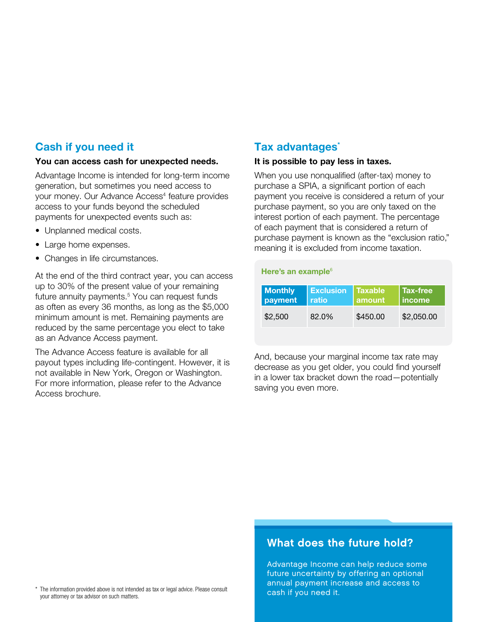#### Cash if you need it

#### You can access cash for unexpected needs.

Advantage Income is intended for long-term income generation, but sometimes you need access to your money. Our Advance Access<sup>4</sup> feature provides access to your funds beyond the scheduled payments for unexpected events such as:

- Unplanned medical costs.
- Large home expenses.
- Changes in life circumstances.

At the end of the third contract year, you can access up to 30% of the present value of your remaining future annuity payments.<sup>5</sup> You can request funds as often as every 36 months, as long as the \$5,000 minimum amount is met. Remaining payments are reduced by the same percentage you elect to take as an Advance Access payment.

The Advance Access feature is available for all payout types including life-contingent. However, it is not available in New York, Oregon or Washington. For more information, please refer to the Advance Access brochure.

#### Tax advantages<sup>\*</sup>

#### It is possible to pay less in taxes.

When you use nonqualified (after-tax) money to purchase a SPIA, a significant portion of each payment you receive is considered a return of your purchase payment, so you are only taxed on the interest portion of each payment. The percentage of each payment that is considered a return of purchase payment is known as the "exclusion ratio," meaning it is excluded from income taxation.

| Here's an example <sup>6</sup> |                           |                          |                                  |  |
|--------------------------------|---------------------------|--------------------------|----------------------------------|--|
| <b>Monthly</b><br>payment      | <b>Exclusion</b><br>ratio | <b>Taxable</b><br>amount | <b>Tax-free</b><br><i>income</i> |  |
| \$2,500                        | $82.0\%$                  | \$450.00                 | \$2,050.00                       |  |

And, because your marginal income tax rate may decrease as you get older, you could find yourself in a lower tax bracket down the road—potentially saving you even more.

#### What does the future hold?

Advantage Income can help reduce some future uncertainty by offering an optional annual payment increase and access to<br>cash if you need it.

\* The information provided above is not intended as tax or legal advice. Please consult your attorney or tax advisor on such matters.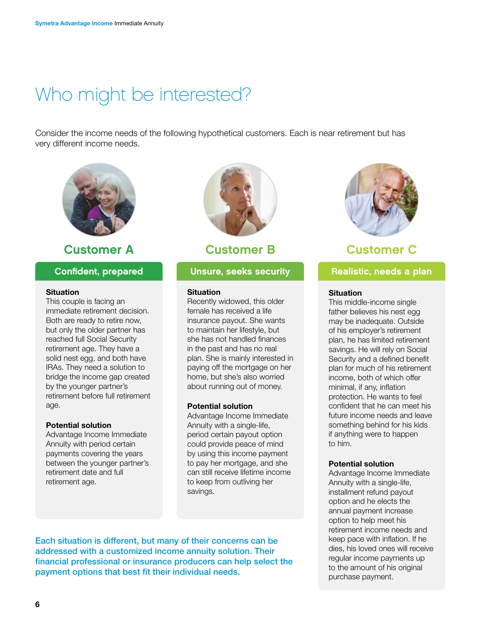### Who might be interested?

Consider the income needs of the following hypothetical customers. Each is near retirement but has very different income needs.



### Customer A Customer B Customer C

#### Confident, prepared

#### **Situation**

This couple is facing an immediate retirement decision. Both are ready to retire now, but only the older partner has reached full Social Security retirement age. They have a solid nest egg, and both have IRAs. They need a solution to bridge the income gap created by the younger partner's retirement before full retirement age.

#### Potential solution

Advantage Income Immediate Annuity with period certain payments covering the years between the younger partner's retirement date and full retirement age.



#### **Situation**

Recently widowed, this older female has received a life insurance payout. She wants to maintain her lifestyle, but she has not handled finances in the past and has no real plan. She is mainly interested in paying off the mortgage on her home, but she's also worried about running out of money.

#### Potential solution

Advantage Income Immediate Annuity with a single-life, period certain payout option could provide peace of mind by using this income payment to pay her mortgage, and she can still receive lifetime income to keep from outliving her savings.

Each situation is different, but many of their concerns can be addressed with a customized income annuity solution. Their financial professional or insurance producers can help select the payment options that best fit their individual needs.



#### Unsure, seeks security **Realistic, needs a plan**

#### **Situation**

This middle-income single father believes his nest egg may be inadequate. Outside of his employer's retirement plan, he has limited retirement savings. He will rely on Social Security and a defined benefit plan for much of his retirement income, both of which offer minimal, if any, inflation protection. He wants to feel confident that he can meet his future income needs and leave something behind for his kids if anything were to happen to him.

#### Potential solution

Advantage Income Immediate Annuity with a single-life, installment refund payout option and he elects the annual payment increase option to help meet his retirement income needs and keep pace with inflation. If he dies, his loved ones will receive regular income payments up to the amount of his original purchase payment.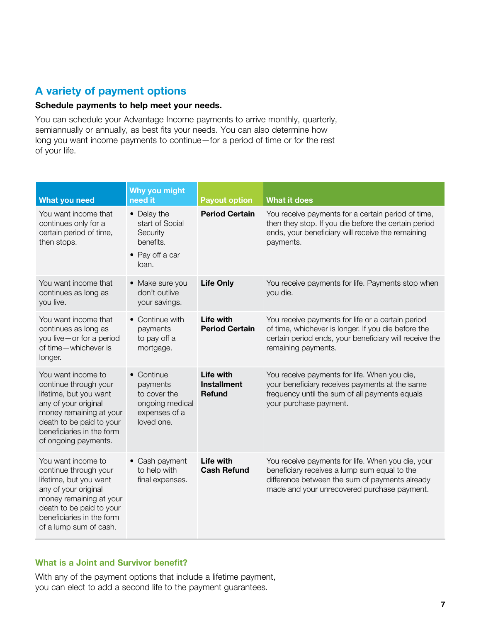#### A variety of payment options

#### Schedule payments to help meet your needs.

You can schedule your Advantage Income payments to arrive monthly, quarterly, semiannually or annually, as best fits your needs. You can also determine how long you want income payments to continue—for a period of time or for the rest of your life.

| <b>What you need</b>                                                                                                                                                                                        | <b>Why you might</b><br>need it                                                          | <b>Payout option</b>                             | <b>What it does</b>                                                                                                                                                                                |
|-------------------------------------------------------------------------------------------------------------------------------------------------------------------------------------------------------------|------------------------------------------------------------------------------------------|--------------------------------------------------|----------------------------------------------------------------------------------------------------------------------------------------------------------------------------------------------------|
| You want income that<br>continues only for a<br>certain period of time,<br>then stops.                                                                                                                      | • Delay the<br>start of Social<br>Security<br>benefits.<br>• Pay off a car<br>loan.      | <b>Period Certain</b>                            | You receive payments for a certain period of time,<br>then they stop. If you die before the certain period<br>ends, your beneficiary will receive the remaining<br>payments.                       |
| You want income that<br>continues as long as<br>you live.                                                                                                                                                   | • Make sure you<br>don't outlive<br>your savings.                                        | <b>Life Only</b>                                 | You receive payments for life. Payments stop when<br>you die.                                                                                                                                      |
| You want income that<br>continues as long as<br>you live - or for a period<br>of time-whichever is<br>longer.                                                                                               | • Continue with<br>payments<br>to pay off a<br>mortgage.                                 | Life with<br><b>Period Certain</b>               | You receive payments for life or a certain period<br>of time, whichever is longer. If you die before the<br>certain period ends, your beneficiary will receive the<br>remaining payments.          |
| You want income to<br>continue through your<br>lifetime, but you want<br>any of your original<br>money remaining at your<br>death to be paid to your<br>beneficiaries in the form<br>of ongoing payments.   | • Continue<br>payments<br>to cover the<br>ongoing medical<br>expenses of a<br>loved one. | Life with<br><b>Installment</b><br><b>Refund</b> | You receive payments for life. When you die,<br>your beneficiary receives payments at the same<br>frequency until the sum of all payments equals<br>your purchase payment.                         |
| You want income to<br>continue through your<br>lifetime, but you want<br>any of your original<br>money remaining at your<br>death to be paid to your<br>beneficiaries in the form<br>of a lump sum of cash. | • Cash payment<br>to help with<br>final expenses.                                        | Life with<br><b>Cash Refund</b>                  | You receive payments for life. When you die, your<br>beneficiary receives a lump sum equal to the<br>difference between the sum of payments already<br>made and your unrecovered purchase payment. |

#### What is a Joint and Survivor benefit?

With any of the payment options that include a lifetime payment, you can elect to add a second life to the payment guarantees.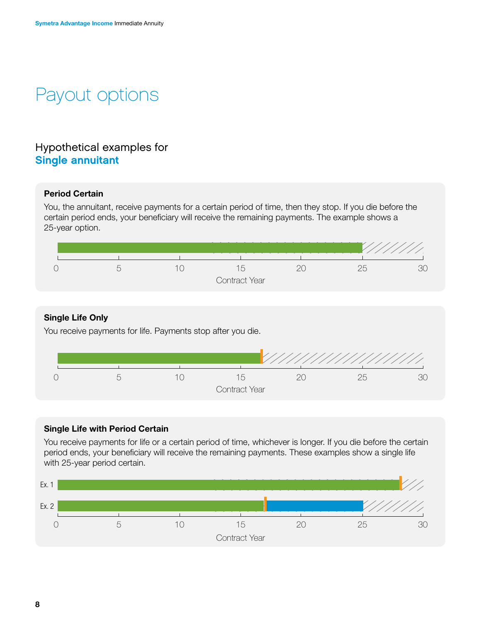## Payout options

### Hypothetical examples for Single annuitant

#### Period Certain

You, the annuitant, receive payments for a certain period of time, then they stop. If you die before the certain period ends, your beneficiary will receive the remaining payments. The example shows a 25-year option.



#### Single Life Only

You receive payments for life. Payments stop after you die.



#### Single Life with Period Certain

You receive payments for life or a certain period of time, whichever is longer. If you die before the certain period ends, your beneficiary will receive the remaining payments. These examples show a single life with 25-year period certain.

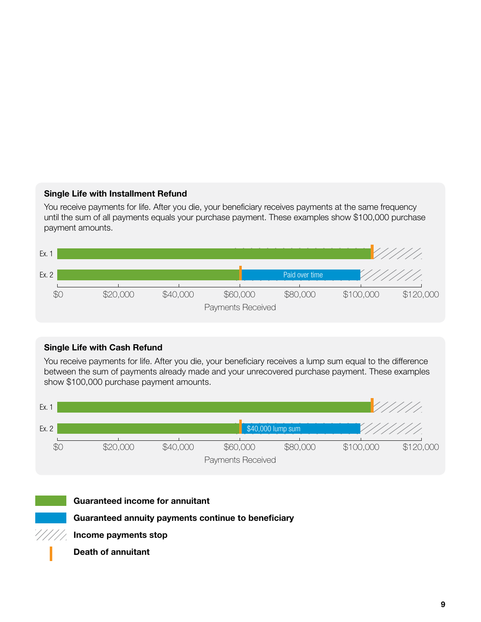#### Single Life with Installment Refund

You receive payments for life. After you die, your beneficiary receives payments at the same frequency until the sum of all payments equals your purchase payment. These examples show \$100,000 purchase payment amounts.



#### Single Life with Cash Refund

You receive payments for life. After you die, your beneficiary receives a lump sum equal to the difference between the sum of payments already made and your unrecovered purchase payment. These examples show \$100,000 purchase payment amounts.





#### Guaranteed income for annuitant

Guaranteed annuity payments continue to beneficiary

Income payments stop

Death of annuitant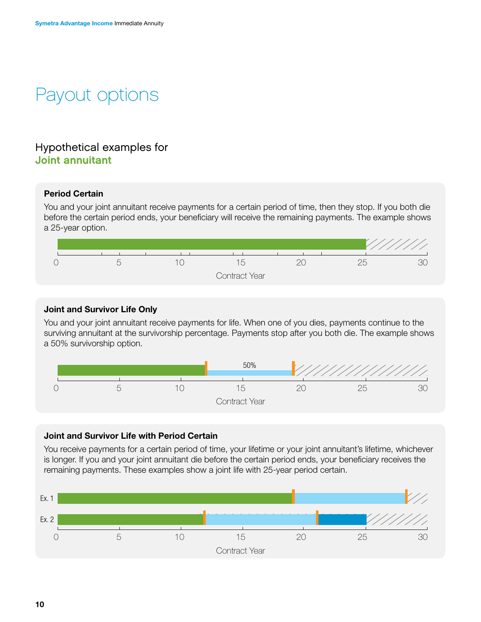## Payout options

#### Hypothetical examples for Joint annuitant

#### Period Certain

You and your joint annuitant receive payments for a certain period of time, then they stop. If you both die before the certain period ends, your beneficiary will receive the remaining payments. The example shows a 25-year option.



#### Joint and Survivor Life Only

You and your joint annuitant receive payments for life. When one of you dies, payments continue to the surviving annuitant at the survivorship percentage. Payments stop after you both die. The example shows a 50% survivorship option.



#### Joint and Survivor Life with Period Certain

You receive payments for a certain period of time, your lifetime or your joint annuitant's lifetime, whichever is longer. If you and your joint annuitant die before the certain period ends, your beneficiary receives the remaining payments. These examples show a joint life with 25-year period certain.

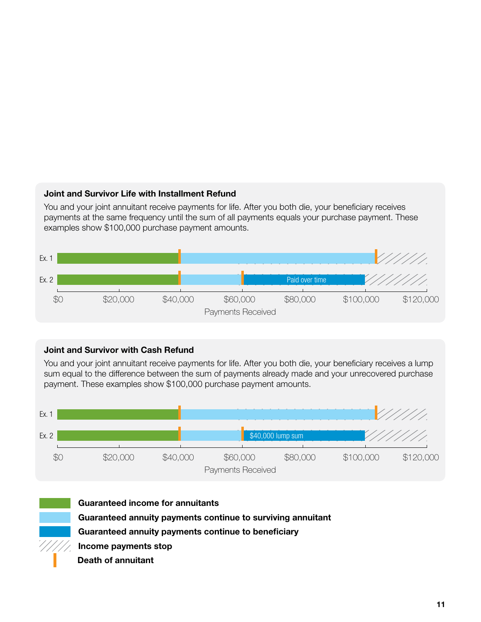#### Joint and Survivor Life with Installment Refund

You and your joint annuitant receive payments for life. After you both die, your beneficiary receives payments at the same frequency until the sum of all payments equals your purchase payment. These examples show \$100,000 purchase payment amounts.



#### Joint and Survivor with Cash Refund

You and your joint annuitant receive payments for life. After you both die, your beneficiary receives a lump sum equal to the difference between the sum of payments already made and your unrecovered purchase payment. These examples show \$100,000 purchase payment amounts.